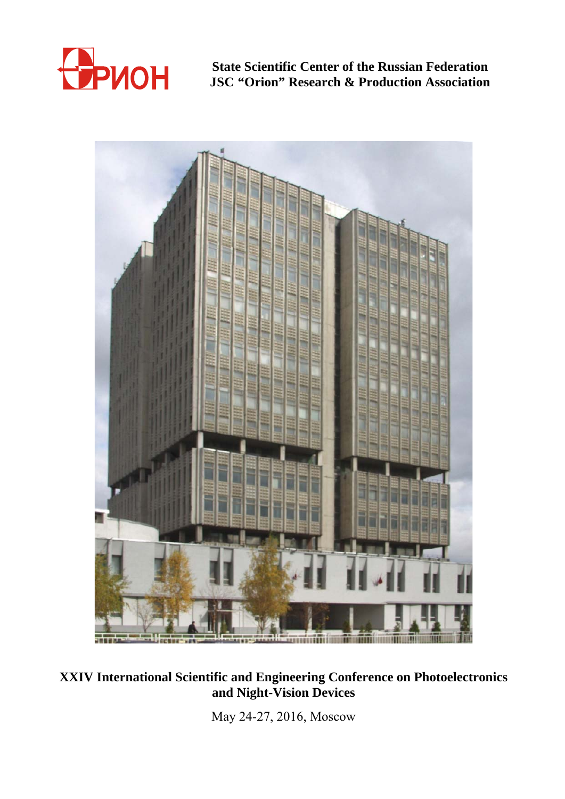

**State Scientific Center of the Russian Federation JSC "Orion" Research & Production Association** 



# **XXIV International Scientific and Engineering Conference on Photoelectronics and Night-Vision Devices**

May 24-27, 2016, Moscow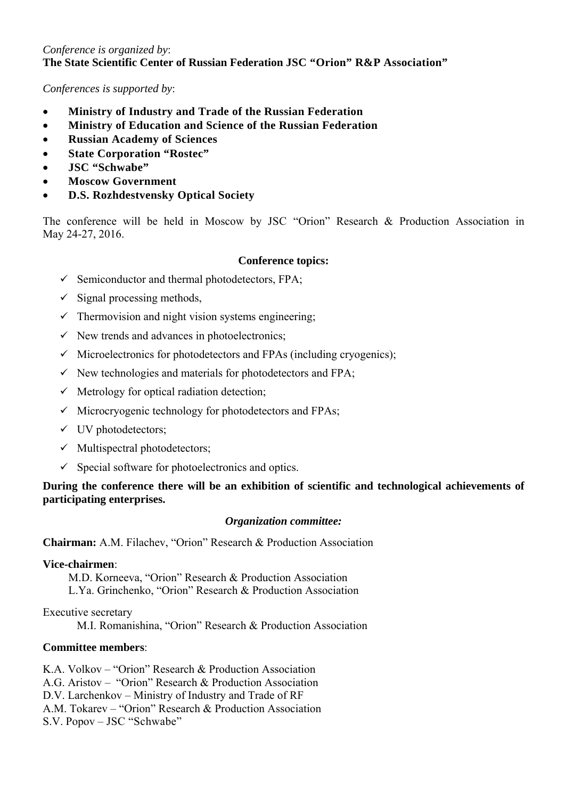### *Conference is organized by*: **The State Scientific Center of Russian Federation JSC "Orion" R&P Association"**

*Conferences is supported by*:

- **Ministry of Industry and Trade of the Russian Federation**
- **Ministry of Education and Science of the Russian Federation**
- **Russian Academy of Sciences**
- **State Corporation "Rostec"**
- **JSC "Schwabe"**
- **Moscow Government**
- **D.S. Rozhdestvensky Optical Society**

The conference will be held in Moscow by JSC "Orion" Research & Production Association in May 24-27, 2016.

#### **Conference topics:**

- $\checkmark$  Semiconductor and thermal photodetectors, FPA;
- $\checkmark$  Signal processing methods,
- $\checkmark$  Thermovision and night vision systems engineering;
- $\checkmark$  New trends and advances in photoelectronics;
- $\checkmark$  Microelectronics for photodetectors and FPAs (including cryogenics);
- $\checkmark$  New technologies and materials for photodetectors and FPA;
- $\checkmark$  Metrology for optical radiation detection;
- $\checkmark$  Microcryogenic technology for photodetectors and FPAs;
- $\checkmark$  UV photodetectors;
- $\checkmark$  Multispectral photodetectors;
- $\checkmark$  Special software for photoelectronics and optics.

## **During the conference there will be an exhibition of scientific and technological achievements of participating enterprises.**

#### *Organization committee:*

**Chairman:** A.M. Filachev, "Orion" Research & Production Association

#### **Vice-chairmen**:

 M.D. Korneeva, "Orion" Research & Production Association L.Ya. Grinchenko, "Orion" Research & Production Association

Executive secretary

M.I. Romanishina, "Orion" Research & Production Association

### **Committee members**:

K.A. Volkov – "Orion" Research & Production Association A.G. Aristov – "Orion" Research & Production Association D.V. Larchenkov – Ministry of Industry and Trade of RF A.M. Tokarev – "Orion" Research & Production Association S.V. Popov – JSC "Schwabe"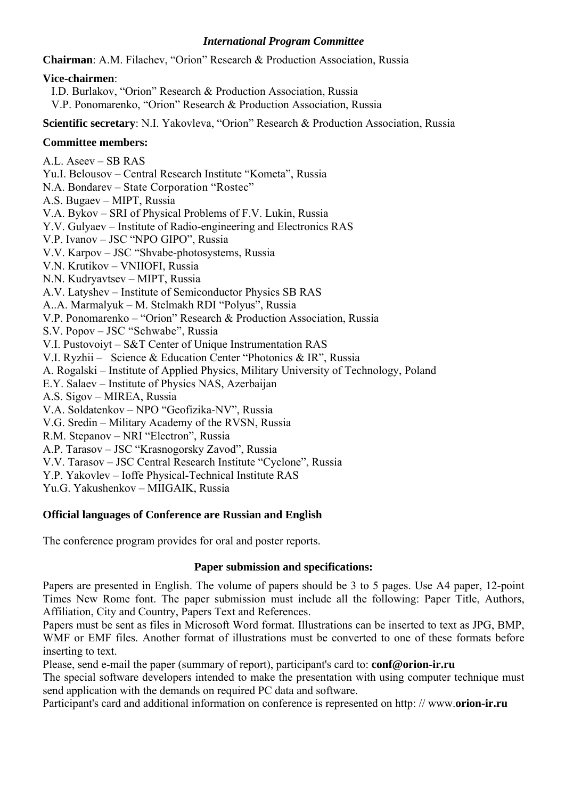#### *International Program Committee*

**Chairman**: A.M. Filachev, "Orion" Research & Production Association, Russia

#### **Vice-chairmen**:

I.D. Burlakov, "Orion" Research & Production Association, Russia

V.P. Ponomarenko, "Orion" Research & Production Association, Russia

**Scientific secretary**: N.I. Yakovleva, "Orion" Research & Production Association, Russia

## **Committee members:**

- A.L. Aseev SB RAS
- Yu.I. Belousov Central Research Institute "Kometa", Russia
- N.A. Bondarev State Corporation "Rostec"
- A.S. Bugaev MIPT, Russia
- V.A. Bykov SRI of Physical Problems of F.V. Lukin, Russia
- Y.V. Gulyaev Institute of Radio-engineering and Electronics RAS
- V.P. Ivanov JSC "NPO GIPO", Russia
- V.V. Karpov JSC "Shvabe-photosystems, Russia
- V.N. Krutikov VNIIOFI, Russia
- N.N. Kudryavtsev MIPT, Russia
- A.V. Latyshev Institute of Semiconductor Physics SB RAS
- A..A. Marmalyuk M. Stelmakh RDI "Polyus", Russia
- V.P. Ponomarenko "Orion" Research & Production Association, Russia
- S.V. Popov JSC "Schwabe", Russia
- V.I. Pustovoiyt S&T Center of Unique Instrumentation RAS
- V.I. Ryzhii Science & Education Center "Photonics & IR", Russia
- A. Rogalski Institute of Applied Physics, Military University of Technology, Poland
- E.Y. Salaev Institute of Physics NAS, Azerbaijan
- A.S. Sigov MIREA, Russia
- V.A. Soldatenkov NPO "Geofizika-NV", Russia
- V.G. Sredin Military Academy of the RVSN, Russia
- R.M. Stepanov NRI "Electron", Russia
- A.P. Tarasov JSC "Krasnogorsky Zavod", Russia
- V.V. Tarasov JSC Central Research Institute "Cyclone", Russia
- Y.P. Yakovlev Ioffe Physical-Technical Institute RAS
- Yu.G. Yakushenkov MIIGAIK, Russia

# **Official languages of Conference are Russian and English**

The conference program provides for oral and poster reports.

### **Paper submission and specifications:**

Papers are presented in English. The volume of papers should be 3 to 5 pages. Use A4 paper, 12-point Times New Rome font. The paper submission must include all the following: Paper Title, Authors, Affiliation, City and Country, Papers Text and References.

Papers must be sent as files in Microsoft Word format. Illustrations can be inserted to text as JPG, BMP, WMF or EMF files. Another format of illustrations must be converted to one of these formats before inserting to text.

Please, send e-mail the paper (summary of report), participant's card to: **conf@orion-ir.ru** 

The special software developers intended to make the presentation with using computer technique must send application with the demands on required PC data and software.

Participant's card and additional information on conference is represented on http: // www.**orion-ir.ru**